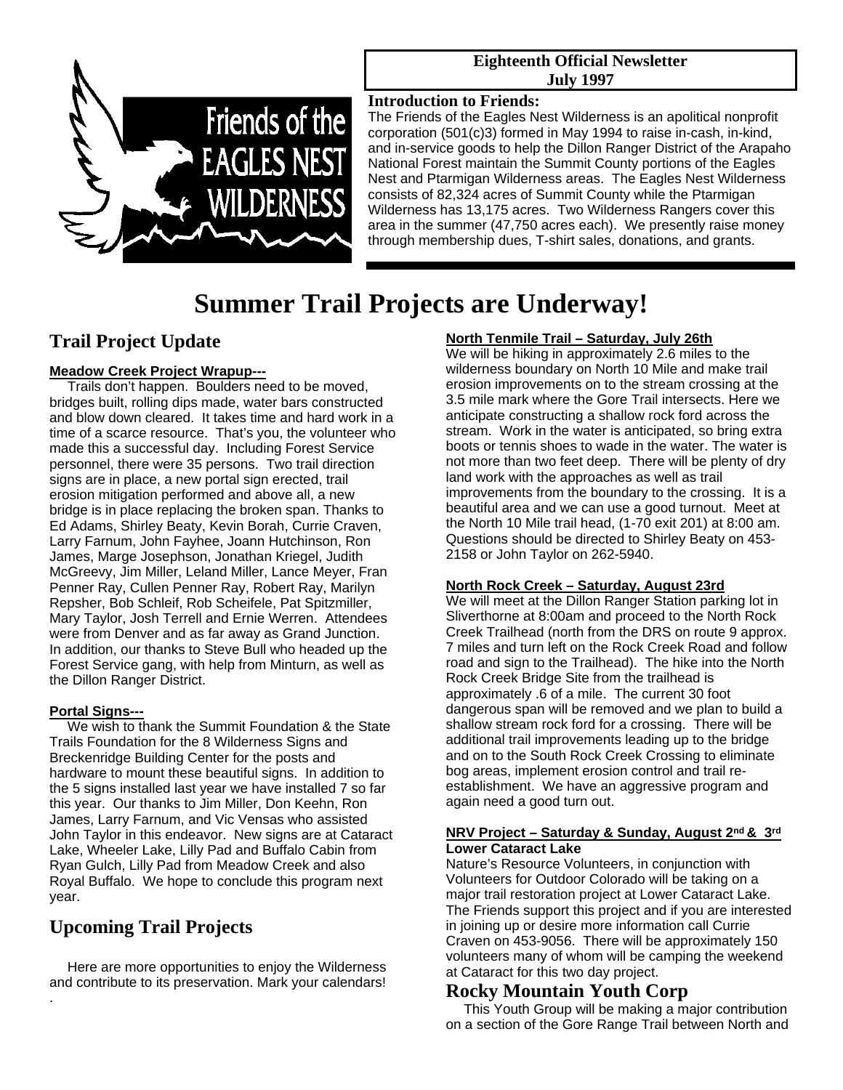

#### **Eighteenth Official Newsletter July 1997**

#### **Introduction to Friends:**

The Friends of the Eagles Nest Wilderness is an apolitical nonprofit corporation (501(c)3) formed in May 1994 to raise in-cash, in-kind, and in-service goods to help the Dillon Ranger District of the Arapaho National Forest maintain the Summit County portions of the Eagles Nest and Ptarmigan Wilderness areas. The Eagles Nest Wilderness consists of 82,324 acres of Summit County while the Ptarmigan Wilderness has 13,175 acres. Two Wilderness Rangers cover this area in the summer (47,750 acres each). We presently raise money through membership dues, T-shirt sales, donations, and grants.

# **Summer Trail Projects are Underway!**

## **Trail Project Update**

#### **Meadow Creek Project Wrapup---**

Trails don't happen. Boulders need to be moved, bridges built, rolling dips made, water bars constructed and blow down cleared. It takes time and hard work in a time of a scarce resource. That's you, the volunteer who made this a successful day. Including Forest Service personnel, there were 35 persons. Two trail direction signs are in place, a new portal sign erected, trail erosion mitigation performed and above all, a new bridge is in place replacing the broken span. Thanks to Ed Adams, Shirley Beaty, Kevin Borah, Currie Craven, Larry Farnum, John Fayhee, Joann Hutchinson, Ron James, Marge Josephson, Jonathan Kriegel, Judith McGreevy, Jim Miller, Leland Miller, Lance Meyer, Fran Penner Ray, Cullen Penner Ray, Robert Ray, Marilyn Repsher, Bob Schleif, Rob Scheifele, Pat Spitzmiller, Mary Taylor, Josh Terrell and Ernie Werren. Attendees were from Denver and as far away as Grand Junction. In addition, our thanks to Steve Bull who headed up the Forest Service gang, with help from Minturn, as well as the Dillon Ranger District.

#### **Portal Signs---**

.

 We wish to thank the Summit Foundation & the State Trails Foundation for the 8 Wilderness Signs and Breckenridge Building Center for the posts and hardware to mount these beautiful signs. In addition to the 5 signs installed last year we have installed 7 so far this year. Our thanks to Jim Miller, Don Keehn, Ron James, Larry Farnum, and Vic Vensas who assisted John Taylor in this endeavor. New signs are at Cataract Lake, Wheeler Lake, Lilly Pad and Buffalo Cabin from Ryan Gulch, Lilly Pad from Meadow Creek and also Royal Buffalo. We hope to conclude this program next year.

# **Upcoming Trail Projects**

 Here are more opportunities to enjoy the Wilderness and contribute to its preservation. Mark your calendars!

#### **North Tenmile Trail – Saturday, July 26th**

We will be hiking in approximately 2.6 miles to the wilderness boundary on North 10 Mile and make trail erosion improvements on to the stream crossing at the 3.5 mile mark where the Gore Trail intersects. Here we anticipate constructing a shallow rock ford across the stream. Work in the water is anticipated, so bring extra boots or tennis shoes to wade in the water. The water is not more than two feet deep. There will be plenty of dry land work with the approaches as well as trail improvements from the boundary to the crossing. It is a beautiful area and we can use a good turnout. Meet at the North 10 Mile trail head, (1-70 exit 201) at 8:00 am. Questions should be directed to Shirley Beaty on 453- 2158 or John Taylor on 262-5940.

#### **North Rock Creek – Saturday, August 23rd**

We will meet at the Dillon Ranger Station parking lot in Sliverthorne at 8:00am and proceed to the North Rock Creek Trailhead (north from the DRS on route 9 approx. 7 miles and turn left on the Rock Creek Road and follow road and sign to the Trailhead). The hike into the North Rock Creek Bridge Site from the trailhead is approximately .6 of a mile. The current 30 foot dangerous span will be removed and we plan to build a shallow stream rock ford for a crossing. There will be additional trail improvements leading up to the bridge and on to the South Rock Creek Crossing to eliminate bog areas, implement erosion control and trail reestablishment. We have an aggressive program and again need a good turn out.

#### **NRV Project – Saturday & Sunday, August 2nd & 3rd Lower Cataract Lake**

Nature's Resource Volunteers, in conjunction with Volunteers for Outdoor Colorado will be taking on a major trail restoration project at Lower Cataract Lake. The Friends support this project and if you are interested in joining up or desire more information call Currie Craven on 453-9056. There will be approximately 150 volunteers many of whom will be camping the weekend at Cataract for this two day project.

# **Rocky Mountain Youth Corp**

This Youth Group will be making a major contribution on a section of the Gore Range Trail between North and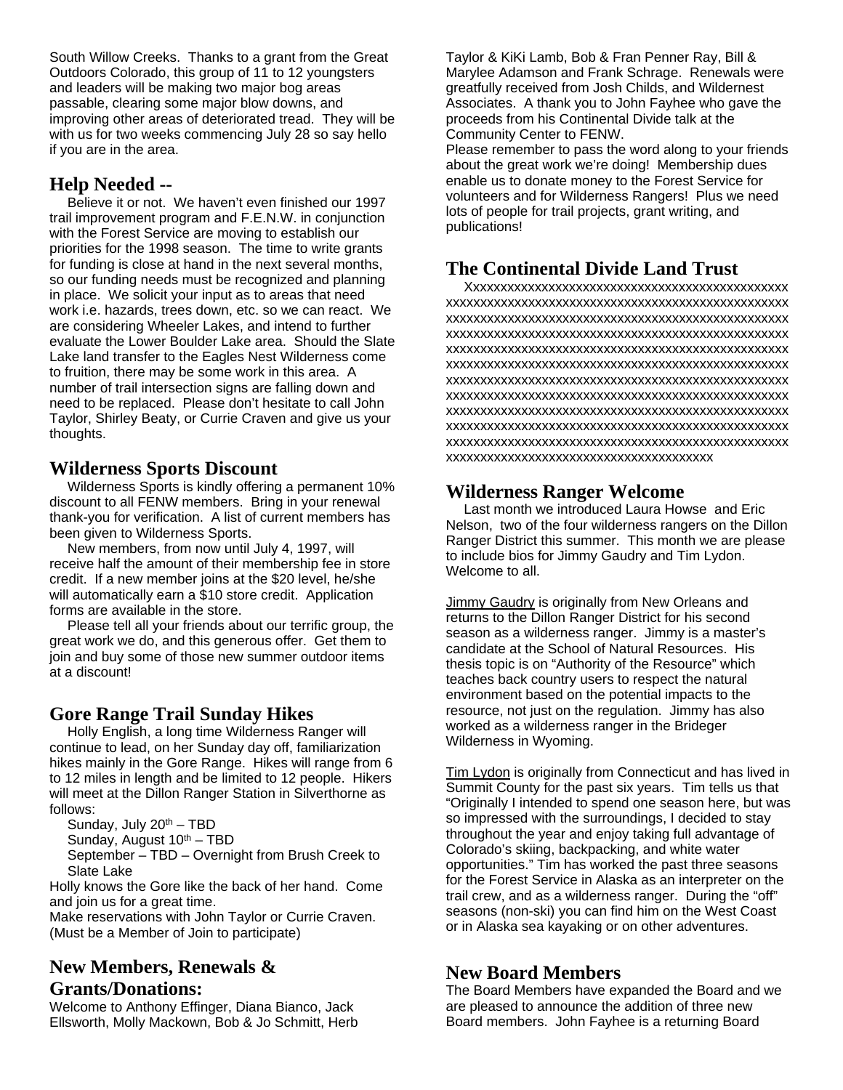South Willow Creeks. Thanks to a grant from the Great Outdoors Colorado, this group of 11 to 12 youngsters and leaders will be making two major bog areas passable, clearing some major blow downs, and improving other areas of deteriorated tread. They will be with us for two weeks commencing July 28 so say hello if you are in the area.

#### **Help Needed --**

Believe it or not. We haven't even finished our 1997 trail improvement program and F.E.N.W. in conjunction with the Forest Service are moving to establish our priorities for the 1998 season. The time to write grants for funding is close at hand in the next several months, so our funding needs must be recognized and planning in place. We solicit your input as to areas that need work i.e. hazards, trees down, etc. so we can react. We are considering Wheeler Lakes, and intend to further evaluate the Lower Boulder Lake area. Should the Slate Lake land transfer to the Eagles Nest Wilderness come to fruition, there may be some work in this area. A number of trail intersection signs are falling down and need to be replaced. Please don't hesitate to call John Taylor, Shirley Beaty, or Currie Craven and give us your thoughts.

#### **Wilderness Sports Discount**

Wilderness Sports is kindly offering a permanent 10% discount to all FENW members. Bring in your renewal thank-you for verification. A list of current members has been given to Wilderness Sports.

 New members, from now until July 4, 1997, will receive half the amount of their membership fee in store credit. If a new member joins at the \$20 level, he/she will automatically earn a \$10 store credit. Application forms are available in the store.

 Please tell all your friends about our terrific group, the great work we do, and this generous offer. Get them to join and buy some of those new summer outdoor items at a discount!

## **Gore Range Trail Sunday Hikes**

Holly English, a long time Wilderness Ranger will continue to lead, on her Sunday day off, familiarization hikes mainly in the Gore Range. Hikes will range from 6 to 12 miles in length and be limited to 12 people. Hikers will meet at the Dillon Ranger Station in Silverthorne as follows:

Sunday, July  $20<sup>th</sup> - TBD$ 

Sunday, August  $10<sup>th</sup> - TBD$ 

September – TBD – Overnight from Brush Creek to Slate Lake

Holly knows the Gore like the back of her hand. Come and join us for a great time.

Make reservations with John Taylor or Currie Craven. (Must be a Member of Join to participate)

## **New Members, Renewals & Grants/Donations:**

Welcome to Anthony Effinger, Diana Bianco, Jack Ellsworth, Molly Mackown, Bob & Jo Schmitt, Herb

Taylor & KiKi Lamb, Bob & Fran Penner Ray, Bill & Marylee Adamson and Frank Schrage. Renewals were greatfully received from Josh Childs, and Wildernest Associates. A thank you to John Fayhee who gave the proceeds from his Continental Divide talk at the Community Center to FENW.

Please remember to pass the word along to your friends about the great work we're doing! Membership dues enable us to donate money to the Forest Service for volunteers and for Wilderness Rangers! Plus we need lots of people for trail projects, grant writing, and publications!

## **The Continental Divide Land Trust**

Xxxxxxxxxxxxxxxxxxxxxxxxxxxxxxxxxxxxxxxxxxxxxxx xxxxxxxxxxxxxxxxxxxxxxxxxxxxxxxxxxxxxxxxxxxxxxxxxx xxxxxxxxxxxxxxxxxxxxxxxxxxxxxxxxxxxxxxxxxxxxxxxxxx xxxxxxxxxxxxxxxxxxxxxxxxxxxxxxxxxxxxxxxxxxxxxxxxxx xxxxxxxxxxxxxxxxxxxxxxxxxxxxxxxxxxxxxxxxxxxxxxxxxx xxxxxxxxxxxxxxxxxxxxxxxxxxxxxxxxxxxxxxxxxxxxxxxxxx xxxxxxxxxxxxxxxxxxxxxxxxxxxxxxxxxxxxxxxxxxxxxxxxxx xxxxxxxxxxxxxxxxxxxxxxxxxxxxxxxxxxxxxxxxxxxxxxxxxx xxxxxxxxxxxxxxxxxxxxxxxxxxxxxxxxxxxxxxxxxxxxxxxxxx xxxxxxxxxxxxxxxxxxxxxxxxxxxxxxxxxxxxxxxxxxxxxxxxxx xxxxxxxxxxxxxxxxxxxxxxxxxxxxxxxxxxxxxxxxxxxxxxxxxx xxxxxxxxxxxxxxxxxxxxxxxxxxxxxxxxxxxxxxx

## **Wilderness Ranger Welcome**

Last month we introduced Laura Howse and Eric Nelson, two of the four wilderness rangers on the Dillon Ranger District this summer. This month we are please to include bios for Jimmy Gaudry and Tim Lydon. Welcome to all.

Jimmy Gaudry is originally from New Orleans and returns to the Dillon Ranger District for his second season as a wilderness ranger. Jimmy is a master's candidate at the School of Natural Resources. His thesis topic is on "Authority of the Resource" which teaches back country users to respect the natural environment based on the potential impacts to the resource, not just on the regulation. Jimmy has also worked as a wilderness ranger in the Brideger Wilderness in Wyoming.

Tim Lydon is originally from Connecticut and has lived in Summit County for the past six years. Tim tells us that "Originally I intended to spend one season here, but was so impressed with the surroundings, I decided to stay throughout the year and enjoy taking full advantage of Colorado's skiing, backpacking, and white water opportunities." Tim has worked the past three seasons for the Forest Service in Alaska as an interpreter on the trail crew, and as a wilderness ranger. During the "off" seasons (non-ski) you can find him on the West Coast or in Alaska sea kayaking or on other adventures.

## **New Board Members**

The Board Members have expanded the Board and we are pleased to announce the addition of three new Board members. John Fayhee is a returning Board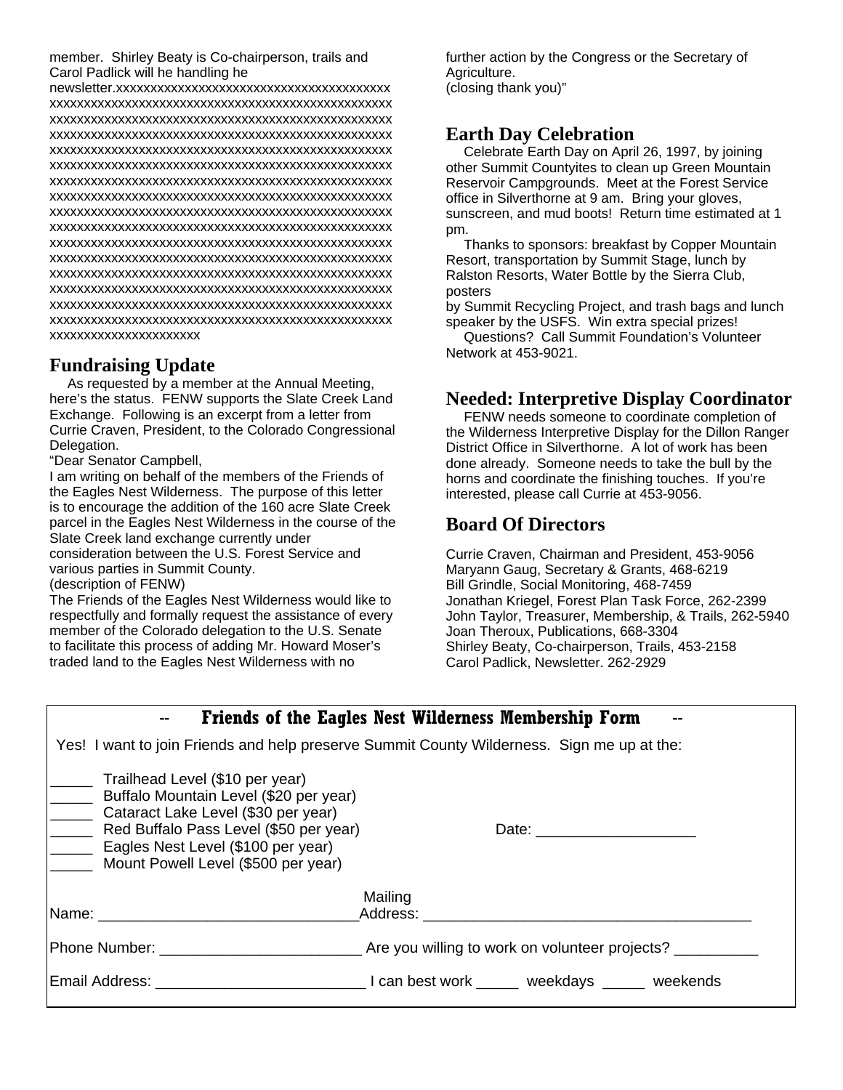member. Shirley Beaty is Co-chairperson, trails and Carol Padlick will he handling he

newsletter.xxxxxxxxxxxxxxxxxxxxxxxxxxxxxxxxxxxxxxxx xxxxxxxxxxxxxxxxxxxxxxxxxxxxxxxxxxxxxxxxxxxxxxxxxx xxxxxxxxxxxxxxxxxxxxxxxxxxxxxxxxxxxxxxxxxxxxxxxxxx xxxxxxxxxxxxxxxxxxxxxxxxxxxxxxxxxxxxxxxxxxxxxxxxxx xxxxxxxxxxxxxxxxxxxxxxxxxxxxxxxxxxxxxxxxxxxxxxxxxx xxxxxxxxxxxxxxxxxxxxxxxxxxxxxxxxxxxxxxxxxxxxxxxxxx xxxxxxxxxxxxxxxxxxxxxxxxxxxxxxxxxxxxxxxxxxxxxxxxxx xxxxxxxxxxxxxxxxxxxxxxxxxxxxxxxxxxxxxxxxxxxxxxxxxx xxxxxxxxxxxxxxxxxxxxxxxxxxxxxxxxxxxxxxxxxxxxxxxxxx xxxxxxxxxxxxxxxxxxxxxxxxxxxxxxxxxxxxxxxxxxxxxxxxxx xxxxxxxxxxxxxxxxxxxxxxxxxxxxxxxxxxxxxxxxxxxxxxxxxx xxxxxxxxxxxxxxxxxxxxxxxxxxxxxxxxxxxxxxxxxxxxxxxxxx xxxxxxxxxxxxxxxxxxxxxxxxxxxxxxxxxxxxxxxxxxxxxxxxxx xxxxxxxxxxxxxxxxxxxxxxxxxxxxxxxxxxxxxxxxxxxxxxxxxx xxxxxxxxxxxxxxxxxxxxxxxxxxxxxxxxxxxxxxxxxxxxxxxxxx xxxxxxxxxxxxxxxxxxxxxxxxxxxxxxxxxxxxxxxxxxxxxxxxxx xxxxxxxxxxxxxxxxxxxxxx

#### **Fundraising Update**

As requested by a member at the Annual Meeting, here's the status. FENW supports the Slate Creek Land Exchange. Following is an excerpt from a letter from Currie Craven, President, to the Colorado Congressional Delegation.

"Dear Senator Campbell,

I am writing on behalf of the members of the Friends of the Eagles Nest Wilderness. The purpose of this letter is to encourage the addition of the 160 acre Slate Creek parcel in the Eagles Nest Wilderness in the course of the Slate Creek land exchange currently under consideration between the U.S. Forest Service and various parties in Summit County. (description of FENW)

The Friends of the Eagles Nest Wilderness would like to respectfully and formally request the assistance of every member of the Colorado delegation to the U.S. Senate to facilitate this process of adding Mr. Howard Moser's traded land to the Eagles Nest Wilderness with no

further action by the Congress or the Secretary of Agriculture. (closing thank you)"

#### **Earth Day Celebration**

Celebrate Earth Day on April 26, 1997, by joining other Summit Countyites to clean up Green Mountain Reservoir Campgrounds. Meet at the Forest Service office in Silverthorne at 9 am. Bring your gloves, sunscreen, and mud boots! Return time estimated at 1 pm.

 Thanks to sponsors: breakfast by Copper Mountain Resort, transportation by Summit Stage, lunch by Ralston Resorts, Water Bottle by the Sierra Club, posters

by Summit Recycling Project, and trash bags and lunch speaker by the USFS. Win extra special prizes!

 Questions? Call Summit Foundation's Volunteer Network at 453-9021.

#### **Needed: Interpretive Display Coordinator**

FENW needs someone to coordinate completion of the Wilderness Interpretive Display for the Dillon Ranger District Office in Silverthorne. A lot of work has been done already. Someone needs to take the bull by the horns and coordinate the finishing touches. If you're interested, please call Currie at 453-9056.

## **Board Of Directors**

Currie Craven, Chairman and President, 453-9056 Maryann Gaug, Secretary & Grants, 468-6219 Bill Grindle, Social Monitoring, 468-7459 Jonathan Kriegel, Forest Plan Task Force, 262-2399 John Taylor, Treasurer, Membership, & Trails, 262-5940 Joan Theroux, Publications, 668-3304 Shirley Beaty, Co-chairperson, Trails, 453-2158 Carol Padlick, Newsletter. 262-2929

|                                                                                                                                                                                                                                         | Friends of the Eagles Nest Wilderness Membership Form                                       |
|-----------------------------------------------------------------------------------------------------------------------------------------------------------------------------------------------------------------------------------------|---------------------------------------------------------------------------------------------|
| Yes! I want to join Friends and help preserve Summit County Wilderness. Sign me up at the:                                                                                                                                              |                                                                                             |
| Trailhead Level (\$10 per year)<br>Buffalo Mountain Level (\$20 per year)<br>Cataract Lake Level (\$30 per year)<br>Red Buffalo Pass Level (\$50 per year)<br>Eagles Nest Level (\$100 per year)<br>Mount Powell Level (\$500 per year) |                                                                                             |
|                                                                                                                                                                                                                                         | Mailing<br> Name: _______________________________Address: _________________________________ |
|                                                                                                                                                                                                                                         |                                                                                             |
|                                                                                                                                                                                                                                         |                                                                                             |